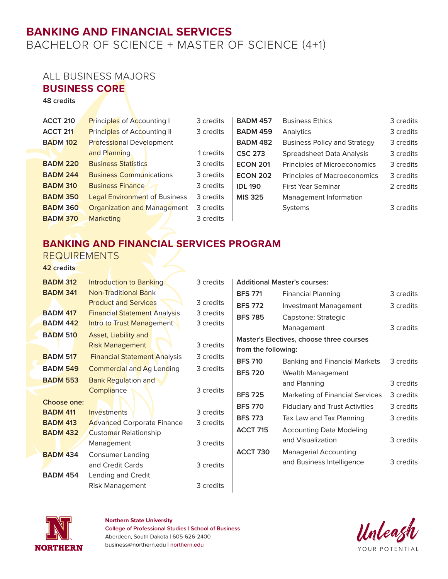# **BANKING AND FINANCIAL SERVICES**

BACHELOR OF SCIENCE + MASTER OF SCIENCE (4+1)

### ALL BUSINESS MAJORS

#### **BUSINESS CORE**

**48 credits**

| <b>ACCT 210</b> | Principles of Accounting I           | 3 credits | <b>BADM 457</b> | <b>Business Ethics</b>              | 3 credits |
|-----------------|--------------------------------------|-----------|-----------------|-------------------------------------|-----------|
| <b>ACCT 211</b> | <b>Principles of Accounting II</b>   | 3 credits | <b>BADM 459</b> | Analytics                           | 3 credits |
| <b>BADM 102</b> | <b>Professional Development</b>      |           | <b>BADM 482</b> | <b>Business Policy and Strategy</b> | 3 credits |
|                 | and Planning                         | 1 credits | <b>CSC 273</b>  | Spreadsheet Data Analysis           | 3 credits |
| <b>BADM 220</b> | <b>Business Statistics</b>           | 3 credits | <b>ECON 201</b> | Principles of Microeconomics        | 3 credits |
| <b>BADM 244</b> | <b>Business Communications</b>       | 3 credits | <b>ECON 202</b> | Principles of Macroeconomics        | 3 credits |
| <b>BADM 310</b> | <b>Business Finance</b>              | 3 credits | <b>IDL 190</b>  | <b>First Year Seminar</b>           | 2 credits |
| <b>BADM 350</b> | <b>Legal Environment of Business</b> | 3 credits | <b>MIS 325</b>  | Management Information              |           |
| <b>BADM 360</b> | <b>Organization and Management</b>   | 3 credits |                 | <b>Systems</b>                      | 3 credits |
| <b>BADM 370</b> | <b>Marketing</b>                     | 3 credits |                 |                                     |           |

## **BANKING AND FINANCIAL SERVICES PROGRAM**

#### REQUIREMENTS

**42 credits**

| <b>BADM 312</b> | <b>Introduction to Banking</b>      | 3 credits | <b>Additional Master's courses:</b> |                                          |           |
|-----------------|-------------------------------------|-----------|-------------------------------------|------------------------------------------|-----------|
| <b>BADM 341</b> | <b>Non-Traditional Bank</b>         |           | <b>BFS 771</b>                      | <b>Financial Planning</b>                | 3 credits |
|                 | <b>Product and Services</b>         | 3 credits | <b>BFS 772</b>                      | <b>Investment Management</b>             | 3 credits |
| <b>BADM 417</b> | <b>Financial Statement Analysis</b> | 3 credits | <b>BFS 785</b>                      | Capstone: Strategic                      |           |
| <b>BADM 442</b> | Intro to Trust Management           | 3 credits |                                     | Management                               | 3 credits |
| <b>BADM 510</b> | Asset, Liability and                |           |                                     | Master's Electives, choose three courses |           |
|                 | <b>Risk Management</b>              | 3 credits | from the following:                 |                                          |           |
| <b>BADM 517</b> | <b>Financial Statement Analysis</b> | 3 credits | <b>BFS 710</b>                      | <b>Banking and Financial Markets</b>     | 3 credits |
| <b>BADM 549</b> | <b>Commercial and Ag Lending</b>    | 3 credits | <b>BFS 720</b>                      | Wealth Management                        |           |
| <b>BADM 553</b> | <b>Bank Regulation and</b>          |           |                                     | and Planning                             | 3 credits |
|                 | Compliance                          | 3 credits | <b>BFS 725</b>                      | <b>Marketing of Financial Services</b>   | 3 credits |
| Choose one:     |                                     |           | <b>BFS 770</b>                      |                                          |           |
| <b>BADM 411</b> | Investments                         | 3 credits |                                     | <b>Fiduciary and Trust Activities</b>    | 3 credits |
| <b>BADM 413</b> | <b>Advanced Corporate Finance</b>   | 3 credits | <b>BFS 773</b>                      | Tax Law and Tax Planning                 | 3 credits |
| <b>BADM 432</b> | Customer Relationship               |           | <b>ACCT 715</b>                     | <b>Accounting Data Modeling</b>          |           |
|                 | Management                          | 3 credits |                                     | and Visualization                        | 3 credits |
| <b>BADM 434</b> | <b>Consumer Lending</b>             |           | <b>ACCT 730</b>                     | <b>Managerial Accounting</b>             |           |
|                 | and Credit Cards                    | 3 credits |                                     | and Business Intelligence                | 3 credits |
| <b>BADM 454</b> | Lending and Credit                  |           |                                     |                                          |           |
|                 | Risk Management                     | 3 credits |                                     |                                          |           |



**Northern State University**

**College of Professional Studies | School of Business** Aberdeen, South Dakota | 605-626-2400 business@northern.edu | northern.edu